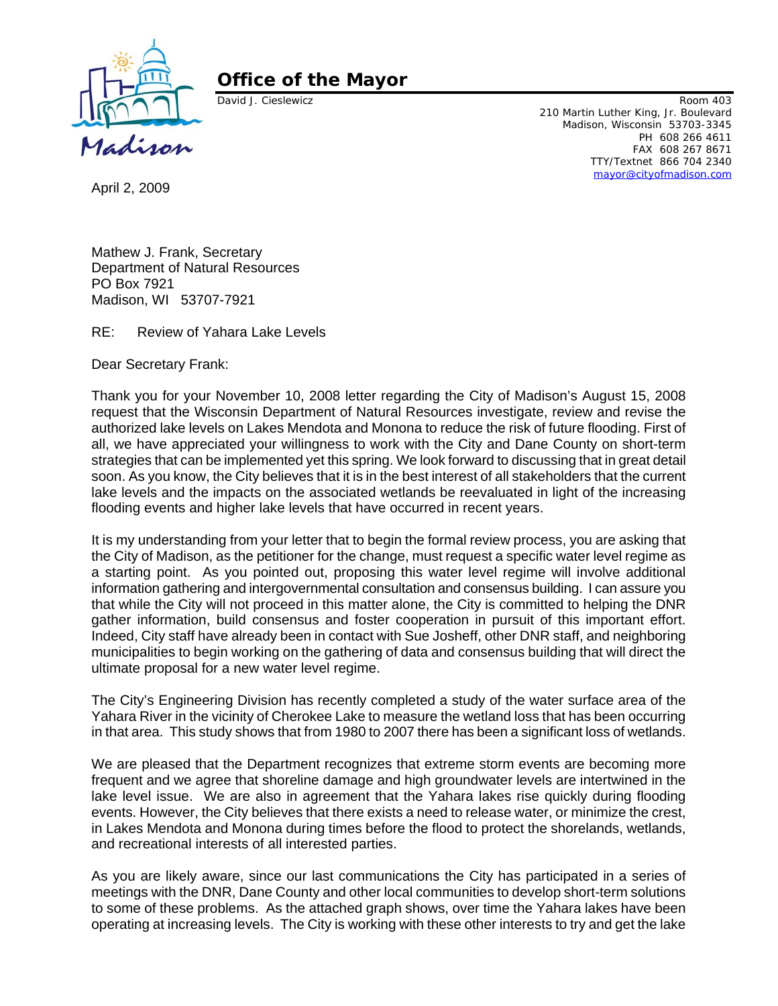

## **Office of the Mayor**

David J. Cieslewicz **Room 403** 210 Martin Luther King, Jr. Boulevard Madison, Wisconsin 53703-3345 PH 608 266 4611 FAX 608 267 8671 TTY/Textnet 866 704 2340 mayor@cityofmadison.com

April 2, 2009

Mathew J. Frank, Secretary Department of Natural Resources PO Box 7921 Madison, WI 53707-7921

RE: Review of Yahara Lake Levels

Dear Secretary Frank:

Thank you for your November 10, 2008 letter regarding the City of Madison's August 15, 2008 request that the Wisconsin Department of Natural Resources investigate, review and revise the authorized lake levels on Lakes Mendota and Monona to reduce the risk of future flooding. First of all, we have appreciated your willingness to work with the City and Dane County on short-term strategies that can be implemented yet this spring. We look forward to discussing that in great detail soon. As you know, the City believes that it is in the best interest of all stakeholders that the current lake levels and the impacts on the associated wetlands be reevaluated in light of the increasing flooding events and higher lake levels that have occurred in recent years.

It is my understanding from your letter that to begin the formal review process, you are asking that the City of Madison, as the petitioner for the change, must request a specific water level regime as a starting point. As you pointed out, proposing this water level regime will involve additional information gathering and intergovernmental consultation and consensus building. I can assure you that while the City will not proceed in this matter alone, the City is committed to helping the DNR gather information, build consensus and foster cooperation in pursuit of this important effort. Indeed, City staff have already been in contact with Sue Josheff, other DNR staff, and neighboring municipalities to begin working on the gathering of data and consensus building that will direct the ultimate proposal for a new water level regime.

The City's Engineering Division has recently completed a study of the water surface area of the Yahara River in the vicinity of Cherokee Lake to measure the wetland loss that has been occurring in that area. This study shows that from 1980 to 2007 there has been a significant loss of wetlands.

We are pleased that the Department recognizes that extreme storm events are becoming more frequent and we agree that shoreline damage and high groundwater levels are intertwined in the lake level issue. We are also in agreement that the Yahara lakes rise quickly during flooding events. However, the City believes that there exists a need to release water, or minimize the crest, in Lakes Mendota and Monona during times before the flood to protect the shorelands, wetlands, and recreational interests of all interested parties.

As you are likely aware, since our last communications the City has participated in a series of meetings with the DNR, Dane County and other local communities to develop short-term solutions to some of these problems. As the attached graph shows, over time the Yahara lakes have been operating at increasing levels. The City is working with these other interests to try and get the lake